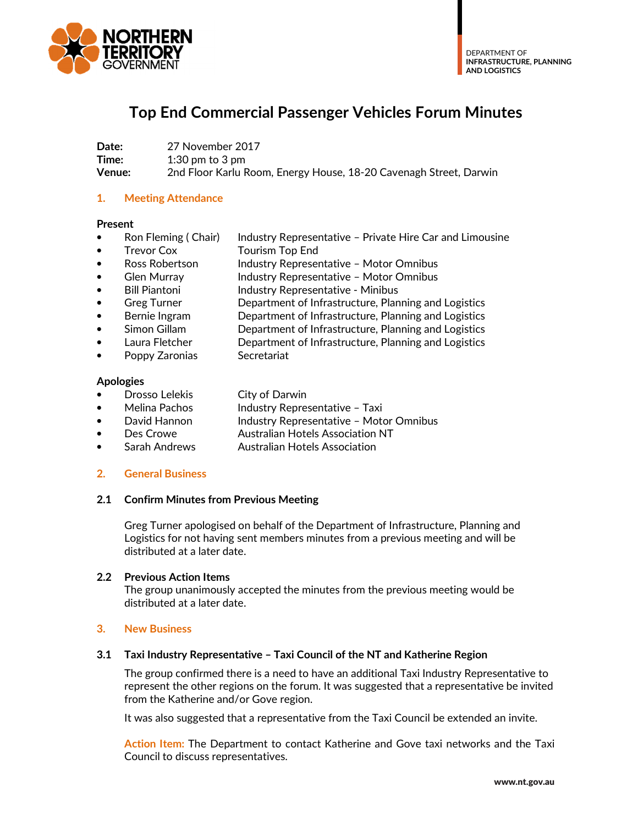

# **Top End Commercial Passenger Vehicles Forum Minutes**

**Date:** 27 November 2017 **Time:** 1:30 pm to 3 pm **Venue:** 2nd Floor Karlu Room, Energy House, 18-20 Cavenagh Street, Darwin

## **1. Meeting Attendance**

#### **Present**

- Ron Fleming ( Chair) Industry Representative Private Hire Car and Limousine
- Trevor Cox Tourism Top End
- Ross Robertson Industry Representative Motor Omnibus
- Glen Murray **Industry Representative Motor Omnibus**
- Bill Piantoni **Industry Representative Minibus**
- Greg Turner **Department of Infrastructure, Planning and Logistics**
- Bernie Ingram Department of Infrastructure, Planning and Logistics
- Simon Gillam Department of Infrastructure, Planning and Logistics
	- Laura Fletcher **Department of Infrastructure, Planning and Logistics**
- Poppy Zaronias Secretariat

#### **Apologies**

- **Drosso Lelekis** City of Darwin
- Melina Pachos Industry Representative Taxi
- David Hannon Industry Representative Motor Omnibus
- Des Crowe Australian Hotels Association NT
- Sarah Andrews Australian Hotels Association

#### **2. General Business**

#### **2.1 Confirm Minutes from Previous Meeting**

Greg Turner apologised on behalf of the Department of Infrastructure, Planning and Logistics for not having sent members minutes from a previous meeting and will be distributed at a later date.

#### **2.2 Previous Action Items**

The group unanimously accepted the minutes from the previous meeting would be distributed at a later date.

#### **3. New Business**

#### **3.1 Taxi Industry Representative – Taxi Council of the NT and Katherine Region**

The group confirmed there is a need to have an additional Taxi Industry Representative to represent the other regions on the forum. It was suggested that a representative be invited from the Katherine and/or Gove region.

It was also suggested that a representative from the Taxi Council be extended an invite.

**Action Item:** The Department to contact Katherine and Gove taxi networks and the Taxi Council to discuss representatives.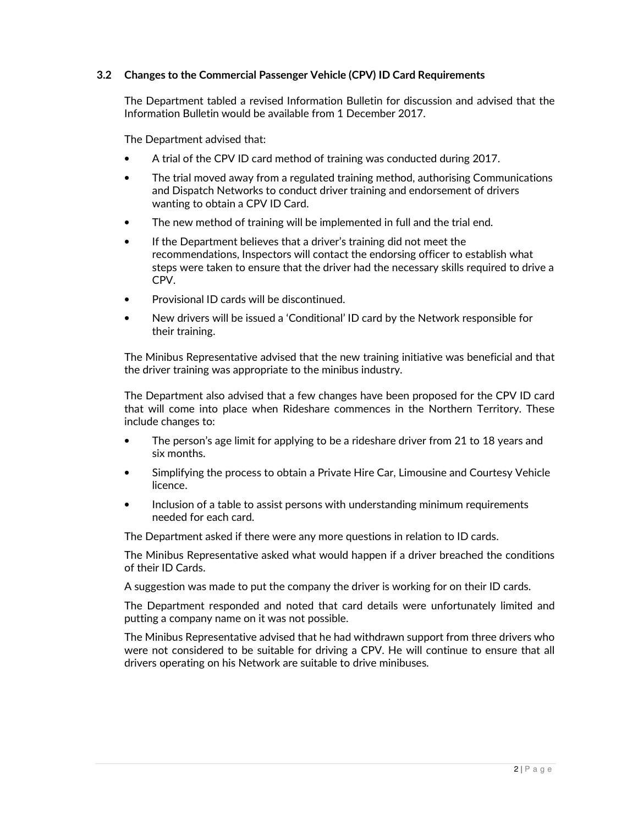## **3.2 Changes to the Commercial Passenger Vehicle (CPV) ID Card Requirements**

The Department tabled a revised Information Bulletin for discussion and advised that the Information Bulletin would be available from 1 December 2017.

The Department advised that:

- A trial of the CPV ID card method of training was conducted during 2017.
- The trial moved away from a regulated training method, authorising Communications and Dispatch Networks to conduct driver training and endorsement of drivers wanting to obtain a CPV ID Card.
- The new method of training will be implemented in full and the trial end.
- If the Department believes that a driver's training did not meet the recommendations, Inspectors will contact the endorsing officer to establish what steps were taken to ensure that the driver had the necessary skills required to drive a CPV.
- Provisional ID cards will be discontinued.
- New drivers will be issued a 'Conditional' ID card by the Network responsible for their training.

The Minibus Representative advised that the new training initiative was beneficial and that the driver training was appropriate to the minibus industry.

The Department also advised that a few changes have been proposed for the CPV ID card that will come into place when Rideshare commences in the Northern Territory. These include changes to:

- The person's age limit for applying to be a rideshare driver from 21 to 18 years and six months.
- Simplifying the process to obtain a Private Hire Car, Limousine and Courtesy Vehicle licence.
- Inclusion of a table to assist persons with understanding minimum requirements needed for each card.

The Department asked if there were any more questions in relation to ID cards.

The Minibus Representative asked what would happen if a driver breached the conditions of their ID Cards.

A suggestion was made to put the company the driver is working for on their ID cards.

The Department responded and noted that card details were unfortunately limited and putting a company name on it was not possible.

The Minibus Representative advised that he had withdrawn support from three drivers who were not considered to be suitable for driving a CPV. He will continue to ensure that all drivers operating on his Network are suitable to drive minibuses.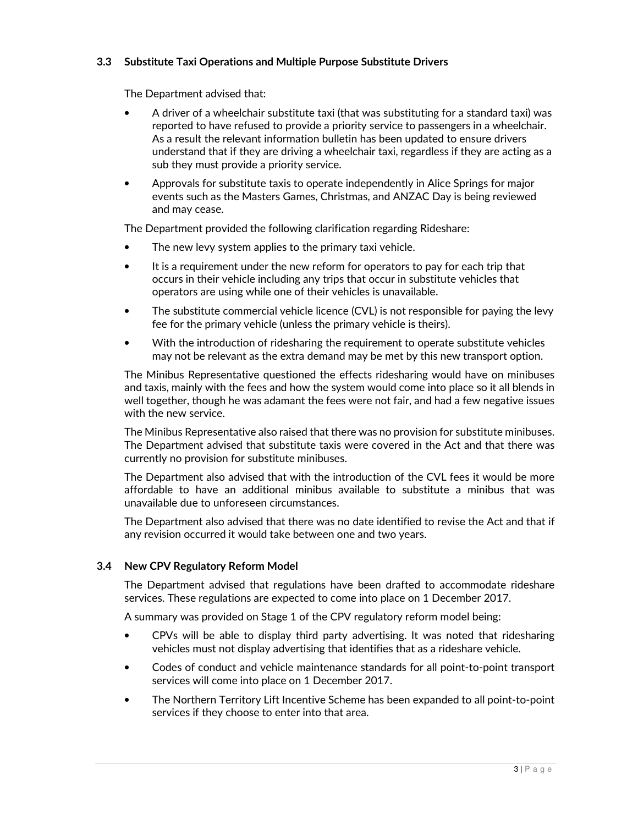## **3.3 Substitute Taxi Operations and Multiple Purpose Substitute Drivers**

The Department advised that:

- A driver of a wheelchair substitute taxi (that was substituting for a standard taxi) was reported to have refused to provide a priority service to passengers in a wheelchair. As a result the relevant information bulletin has been updated to ensure drivers understand that if they are driving a wheelchair taxi, regardless if they are acting as a sub they must provide a priority service.
- Approvals for substitute taxis to operate independently in Alice Springs for major events such as the Masters Games, Christmas, and ANZAC Day is being reviewed and may cease.

The Department provided the following clarification regarding Rideshare:

- The new levy system applies to the primary taxi vehicle.
- It is a requirement under the new reform for operators to pay for each trip that occurs in their vehicle including any trips that occur in substitute vehicles that operators are using while one of their vehicles is unavailable.
- The substitute commercial vehicle licence (CVL) is not responsible for paying the levy fee for the primary vehicle (unless the primary vehicle is theirs).
- With the introduction of ridesharing the requirement to operate substitute vehicles may not be relevant as the extra demand may be met by this new transport option.

The Minibus Representative questioned the effects ridesharing would have on minibuses and taxis, mainly with the fees and how the system would come into place so it all blends in well together, though he was adamant the fees were not fair, and had a few negative issues with the new service.

The Minibus Representative also raised that there was no provision for substitute minibuses. The Department advised that substitute taxis were covered in the Act and that there was currently no provision for substitute minibuses.

The Department also advised that with the introduction of the CVL fees it would be more affordable to have an additional minibus available to substitute a minibus that was unavailable due to unforeseen circumstances.

The Department also advised that there was no date identified to revise the Act and that if any revision occurred it would take between one and two years.

## **3.4 New CPV Regulatory Reform Model**

The Department advised that regulations have been drafted to accommodate rideshare services. These regulations are expected to come into place on 1 December 2017.

A summary was provided on Stage 1 of the CPV regulatory reform model being:

- CPVs will be able to display third party advertising. It was noted that ridesharing vehicles must not display advertising that identifies that as a rideshare vehicle.
- Codes of conduct and vehicle maintenance standards for all point-to-point transport services will come into place on 1 December 2017.
- The Northern Territory Lift Incentive Scheme has been expanded to all point-to-point services if they choose to enter into that area.